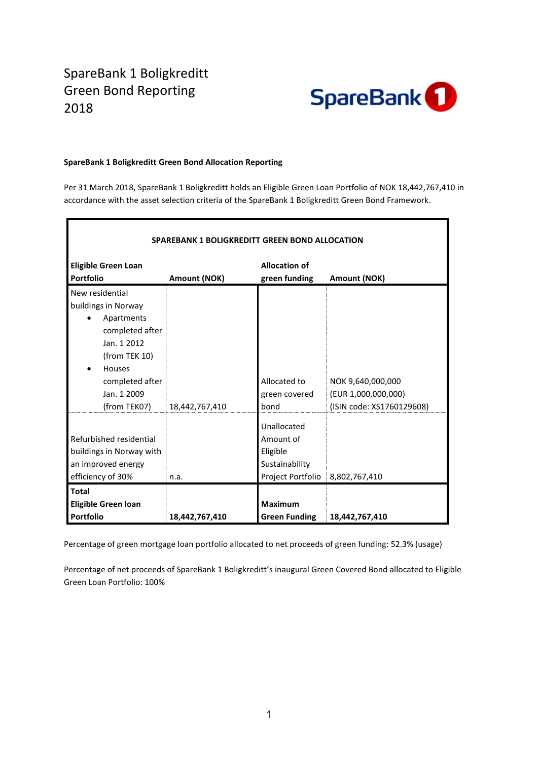## SpareBank 1 Boligkreditt Green Bond Reporting 2018



## **SpareBank 1 Boligkreditt Green Bond Allocation Reporting**

Per 31 March 2018, SpareBank 1 Boligkreditt holds an Eligible Green Loan Portfolio of NOK 18,442,767,410 in accordance with the asset selection criteria of the SpareBank 1 Boligkreditt Green Bond Framework.

| <b>SPAREBANK 1 BOLIGKREDITT GREEN BOND ALLOCATION</b> |                |                                   |                           |  |  |  |  |  |
|-------------------------------------------------------|----------------|-----------------------------------|---------------------------|--|--|--|--|--|
| <b>Eligible Green Loan</b>                            |                | <b>Allocation of</b>              |                           |  |  |  |  |  |
| <b>Portfolio</b>                                      | Amount (NOK)   | green funding                     | Amount (NOK)              |  |  |  |  |  |
| New residential                                       |                |                                   |                           |  |  |  |  |  |
| buildings in Norway                                   |                |                                   |                           |  |  |  |  |  |
| Apartments                                            |                |                                   |                           |  |  |  |  |  |
| completed after                                       |                |                                   |                           |  |  |  |  |  |
| Jan. 1 2012                                           |                |                                   |                           |  |  |  |  |  |
| (from TEK 10)                                         |                |                                   |                           |  |  |  |  |  |
| Houses<br>٠                                           |                |                                   |                           |  |  |  |  |  |
| completed after                                       |                | Allocated to                      | NOK 9,640,000,000         |  |  |  |  |  |
| Jan. 1 2009                                           |                | green covered                     | (EUR 1,000,000,000)       |  |  |  |  |  |
| (from TEK07)                                          | 18,442,767,410 | bond                              | (ISIN code: XS1760129608) |  |  |  |  |  |
|                                                       |                | Unallocated                       |                           |  |  |  |  |  |
| Refurbished residential                               |                | Amount of                         |                           |  |  |  |  |  |
| buildings in Norway with                              |                | Eligible                          |                           |  |  |  |  |  |
| an improved energy                                    |                | Sustainability                    |                           |  |  |  |  |  |
| efficiency of 30%                                     | n.a.           | Project Portfolio   8,802,767,410 |                           |  |  |  |  |  |
| <b>Total</b>                                          |                |                                   |                           |  |  |  |  |  |
|                                                       |                | <b>Maximum</b>                    |                           |  |  |  |  |  |
| Eligible Green loan                                   |                |                                   |                           |  |  |  |  |  |
| <b>Portfolio</b>                                      | 18,442,767,410 | <b>Green Funding</b>              | 18,442,767,410            |  |  |  |  |  |

Percentage of green mortgage loan portfolio allocated to net proceeds of green funding: 52.3% (usage)

Percentage of net proceeds of SpareBank 1 Boligkreditt's inaugural Green Covered Bond allocated to Eligible Green Loan Portfolio: 100%